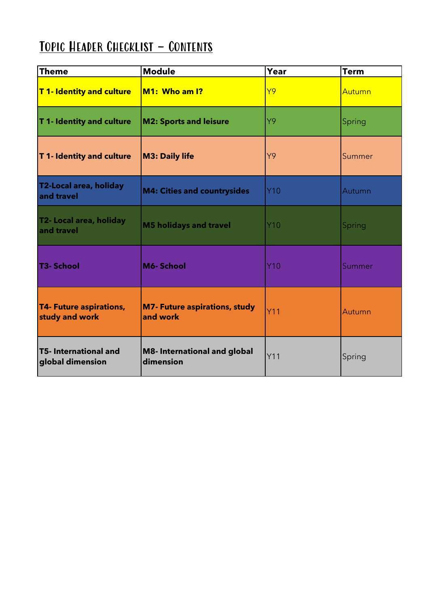## TOPIC HEADER CHECKLIST - CONTENTS

| <b>Theme</b>                                     | <b>Module</b>                                    | Year       | <b>Term</b> |
|--------------------------------------------------|--------------------------------------------------|------------|-------------|
| T1- Identity and culture                         | $M1:$ Who am I?                                  | Y9         | Autumn      |
| T 1- Identity and culture                        | <b>M2: Sports and leisure</b>                    | Y9         | Spring      |
| T 1- Identity and culture                        | <b>M3: Daily life</b>                            | Y9         | Summer      |
| T2-Local area, holiday<br>and travel             | <b>M4: Cities and countrysides</b>               | <b>Y10</b> | Autumn      |
| T2- Local area, holiday<br>and travel            | <b>M5 holidays and travel</b>                    | $Y$ 10     | Spring      |
| T3- School                                       | M6-School                                        | Y10        | Summer      |
| <b>T4- Future aspirations,</b><br>study and work | <b>M7- Future aspirations, study</b><br>and work | <b>Y11</b> | Autumn      |
| <b>T5- International and</b><br>global dimension | <b>M8-International and global</b><br>dimension  | Y11        | Spring      |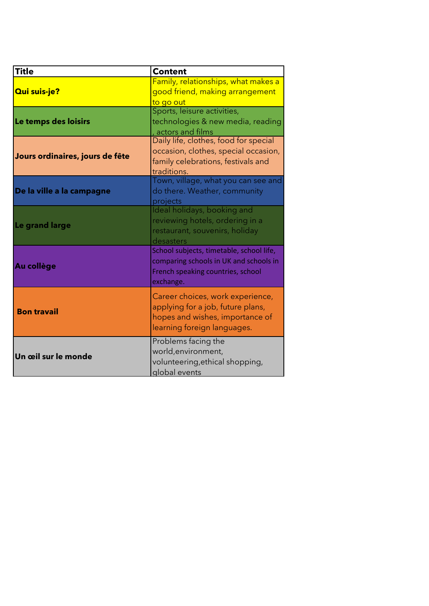| <b>Title</b>                    | <b>Content</b>                                                                                                                          |
|---------------------------------|-----------------------------------------------------------------------------------------------------------------------------------------|
| <b>Qui suis-je?</b>             | Family, relationships, what makes a<br>good friend, making arrangement<br>to go out                                                     |
| Le temps des loisirs            | Sports, leisure activities,<br>technologies & new media, reading<br>actors and films                                                    |
| Jours ordinaires, jours de fête | Daily life, clothes, food for special<br>occasion, clothes, special occasion,<br>family celebrations, festivals and<br>traditions.      |
| De la ville a la campagne       | Town, village, what you can see and<br>do there. Weather, community<br>projects                                                         |
| Le grand large                  | Ideal holidays, booking and<br>reviewing hotels, ordering in a<br>restaurant, souvenirs, holiday<br>desasters                           |
| Au collège                      | School subjects, timetable, school life,<br>comparing schools in UK and schools in<br>French speaking countries, school<br>exchange.    |
| <b>Bon travail</b>              | Career choices, work experience,<br>applying for a job, future plans,<br>hopes and wishes, importance of<br>learning foreign languages. |
| Un œil sur le monde             | Problems facing the<br>world, environment,<br>volunteering, ethical shopping,<br>global events                                          |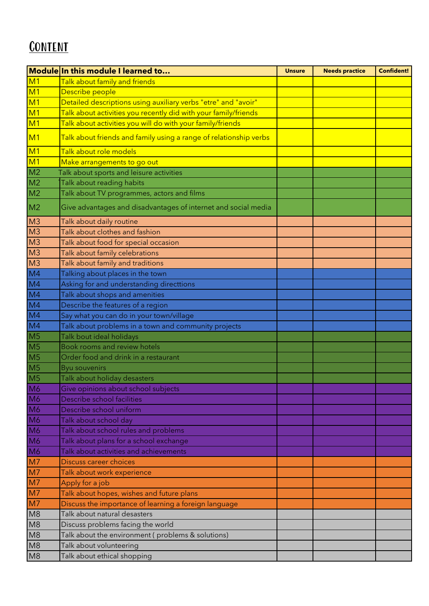## **CONTENT**

|                | Module In this module I learned to                                | <b>Unsure</b> | <b>Needs practice</b> | <b>Confident!</b> |
|----------------|-------------------------------------------------------------------|---------------|-----------------------|-------------------|
| M <sub>1</sub> | Talk about family and friends                                     |               |                       |                   |
| M <sub>1</sub> | Describe people                                                   |               |                       |                   |
| M <sub>1</sub> | Detailed descriptions using auxiliary verbs "etre" and "avoir"    |               |                       |                   |
| M <sub>1</sub> | Talk about activities you recently did with your family/friends   |               |                       |                   |
| M <sub>1</sub> | Talk about activities you will do with your family/friends        |               |                       |                   |
| M <sub>1</sub> | Talk about friends and family using a range of relationship verbs |               |                       |                   |
| M <sub>1</sub> | Talk about role models                                            |               |                       |                   |
| M <sub>1</sub> | Make arrangements to go out                                       |               |                       |                   |
| M <sub>2</sub> | Talk about sports and leisure activities                          |               |                       |                   |
| M <sub>2</sub> | Talk about reading habits                                         |               |                       |                   |
| M <sub>2</sub> | Talk about TV programmes, actors and films                        |               |                       |                   |
| M <sub>2</sub> | Give advantages and disadvantages of internet and social media    |               |                       |                   |
| M <sub>3</sub> | Talk about daily routine                                          |               |                       |                   |
| M <sub>3</sub> | Talk about clothes and fashion                                    |               |                       |                   |
| M <sub>3</sub> | Talk about food for special occasion                              |               |                       |                   |
| M <sub>3</sub> | Talk about family celebrations                                    |               |                       |                   |
| M <sub>3</sub> | Talk about family and traditions                                  |               |                       |                   |
| M <sub>4</sub> | Talking about places in the town                                  |               |                       |                   |
| M <sub>4</sub> | Asking for and understanding directtions                          |               |                       |                   |
| M <sub>4</sub> | Talk about shops and amenities                                    |               |                       |                   |
| M <sub>4</sub> | Describe the features of a region                                 |               |                       |                   |
| M4             | Say what you can do in your town/village                          |               |                       |                   |
| M <sub>4</sub> | Talk about problems in a town and community projects              |               |                       |                   |
| M <sub>5</sub> | Talk bout ideal holidays                                          |               |                       |                   |
| M <sub>5</sub> | Book rooms and review hotels                                      |               |                       |                   |
| M <sub>5</sub> | Order food and drink in a restaurant                              |               |                       |                   |
| M <sub>5</sub> | <b>Byu souvenirs</b>                                              |               |                       |                   |
| M <sub>5</sub> | Talk about holiday desasters                                      |               |                       |                   |
| M <sub>6</sub> | Give opinions about school subjects                               |               |                       |                   |
| M <sub>6</sub> | Describe school facilities                                        |               |                       |                   |
| M6             | Describe school uniform                                           |               |                       |                   |
| M6             | Talk about school day                                             |               |                       |                   |
| M6             | Talk about school rules and problems                              |               |                       |                   |
| M6             | Talk about plans for a school exchange                            |               |                       |                   |
| M6             | Talk about activities and achievements                            |               |                       |                   |
| M <sub>7</sub> | Discuss career choices                                            |               |                       |                   |
| M <sub>7</sub> | Talk about work experience                                        |               |                       |                   |
| M <sub>7</sub> | Apply for a job                                                   |               |                       |                   |
| M <sub>7</sub> | Talk about hopes, wishes and future plans                         |               |                       |                   |
| M <sub>7</sub> | Discuss the importance of learning a foreign language             |               |                       |                   |
| M8             | Talk about natural desasters                                      |               |                       |                   |
| M8             | Discuss problems facing the world                                 |               |                       |                   |
| M8             | Talk about the environment (problems & solutions)                 |               |                       |                   |
| M <sub>8</sub> | Talk about volunteering                                           |               |                       |                   |
| M8             | Talk about ethical shopping                                       |               |                       |                   |